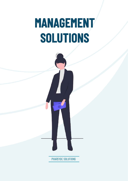# **MANAGEMENT** SOLUTIONS



PHARSYDE SOLUTIONS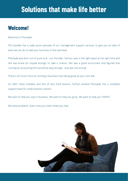# **Solutions that make life better**

## **Welcome!**

Welcome to Pharsyde!

This booklet has a really quick overview of our management support services, to give you an idea of what we can do to take your business to the next level.

Pharsyde was born out of pure luck - our founder, Tamryn, was in the right place at the right time and she was brave (or stupid) enough to take a chance. She was a good accountant and figured that running an accounting firm would be easy enough - boy was she wrong!

There is SO much more to running a business than being good at your core skill.

So, after many mistakes and lots of very hard lessons, Tamryn evolved Pharsyde into a complete support base for small business owners.

We want to help you stay in business. We want to help you grow. We want to help you THRIVE.

We solve problems. Even ones you never knew you had.

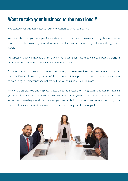### **Want to take your business to the next level?**

You started your business because you were passionate about something.

We seriously doubt you were passionate about administration and business-building! But in order to have a successful business, you need to work on all facets of business - not just the one thing you are good at.

Most business owners have two dreams when they open a business: they want to impact the world in some way, and they want to create freedom for themselves.

Sadly, owning a business almost always results in you having *less* freedom than before, not more. There is SO much to running a successful business, and it is impossible to do it all alone. It's also easy to have things running "fine" and not realise that you could have so much more!

We come alongside you and help you create a healthy, sustainable and growing business by teaching you the things you need to know, helping you create the systems and processes that are vital to survival and providing you with all the tools you need to build a business that can exist without you. A business that makes your dreams come true, without sucking the life out of you!

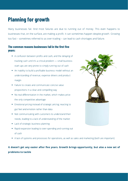# **Planning for growth**

Many businesses fail. And most failures are due to running out of money. This even happens to businesses that, on the surface, are making a profit. It can sometimes happen despite growth. Growing too fast – sometimes referred to as over-trading – can lead to cash shortages and failure.

#### **The common reasons businesses fail in the first five years:**

- A confusion between profits and cash, and the delaying of tracking cash until it's a critical problem — small business start-ups are very prone to simply running out of cash
- $\bullet$  An inability to build a profitable business model without an understanding of revenue, expense drivers and product margin
- Failure to create and communicate concise value propositions in a clear and compelling way
- No real differentiation in the market, which makes price the only competitive advantage
- Emotional pricing instead of strategic pricing; reacting to gut feel and emotion rather than data
- Not communicating with customers to understand their needs, leading to a lack of understanding of the market
- Lack of strategic business planning
- Rapid expansion leading to over-spending and running out of cash
- A lack of systems and processes for operations, as well as sales and marketing (both are important)

#### It doesn't get any easier after five years. Growth brings opportunity, but also a new set of problems to tackle

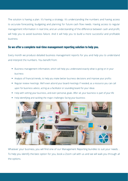The solution is having a plan. It's having a strategy. It's understanding the numbers and having access to accurate forecasting, budgeting and planning for future cash flow needs. Having access to regular management information in real time, and an understanding of the difference between cash and profit, will help you to avoid business failure. And it will help you to build a more successful and profitable business.

#### **So we offer a complete real-time management reporting solution to help you.**

Every month we produce detailed business management reports for you and help you to understand and interpret the numbers. You benefit from:

- Business management information, which will help you understand exactly what is going on in your business
- Analysis of financial trends, to help you make better business decisions and improve your profits
- Regular review meetings. We'll even attend your board meetings if needed, as a resource you can call upon for business advice, acting as a facilitator or sounding board for your ideas
- Help with setting your business, and even personal, goals. After all, your business is part of your life
- Help identifying and tackling the major challenges facing your business



Whatever your business, you will find one of our Management Reporting bundles to suit your needs. . To help you identify the best option for you, book a Zoom call with us and we will walk you through all the options.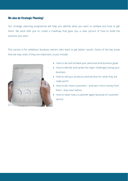#### **We also do Strategic Planning!**

Our strategic planning programme will help you identify what you want to achieve and how to get there. We work with you to create a roadmap that gives you a clear picture of how to build the business you want.

This service is for ambitious business owners who want to get better results. Some of the key areas that we may cover, if they are important, to you include:



- How to set and achieve your personal and business goals
- How to identify and tackle the major challenges facing your business
- How to sell your products and services for what they are really worth
- How to win more customers and earn more money from them - than ever before
- How to never lose a customer again because of customer service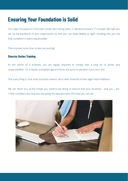# **Ensuring Your Foundation is Solid**

You need the peace of mind that comes with having every "i" dotted and every "t" crossed. We help you set up the backbone of your organisation so that you can sleep deeply at night, knowing that you are fully compliant in every way possible.

That involves more than simple accounting!

#### **Director Duties Training**

As the owner of a business you are legally required to comply with a long list of duties and responsibilities. It's a hassle, and global governments are quick to penalise if you miss one.

The scary thing is, that most business owners *don't even know* all of their legal responsibilities!

We can teach you all the things you need to be doing to ensure that your business - and you - are 100% compliant and that you are being the absolute best CEO that you can be.

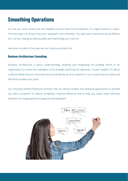# **Smoothing Operations**

So now you know where you are headed and you have the foundations of a legal business in place. The next step is to ensure that your operation runs smoothly. You want your machine to be as efficient as it can be, costing as little possible and maximising your returns!

Here are a couple of the ways we can help you achieve this.

#### **Business Architecture Consulting**

Business Architecture is about understanding, enabling and integrating the building blocks of an organisation to unlock the realisation of its strategic and financial objectives. In plain English? It's about understanding how your business works and setting up all its systems in such a way that you easily and efficiently achieve your goals.

Our amazing certified Enterprise Architect will use various models and analytical approaches to provide you with a blueprint to reduce complexity, improve efficiency and to help you easily make informed decisions for organisational change and development

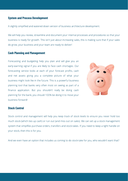#### **System and Process Development**

A slightly simplified and watered down version of business architecture development.

We will help you review, streamline and document your internal processes and procedures so that your business is ready for growth. This isn't just about increasing sales, this is making sure that if your sales do grow, your business and your team are ready to deliver!

#### **Cash Planning and Management**

Forecasting and budgeting help you plan and will give you an early-warning signal if you are likely to face cash shortages. Our forecasting service looks at each of your forecast profits, cash and net assets giving you a complete picture of what your business might look like in the future. This is a powerful business planning tool that banks very often insist on seeing as part of a finance application. But you shouldn't really be doing cash planning for the bank, you should 100% be doing it to move your business forward!



#### **Stock Control**

Stock control and management will help you keep track of stock levels to ensure you never hold too much stock (which ties up cash) or run out (and miss out on sales). We can set up a stock management system that simplifies purchase orders, transfers and stock-takes. If you need to keep a tight handle on your stock, then this is for you.

And we even have an option that includes us coming to do stock-take for you, who wouldn't want that?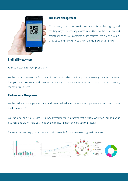

#### **Full Asset Management**

More than just a list of assets. We can assist in the tagging and tracking of your company assets in addition to the creation and maintenance of you complete asset register. We do annual onsite audits and reviews, inclusive of annual insurance reviews.

#### **Profitability Advisory**

Are you maximising your profitability?

We help you to assess the 9 drivers of profit and make sure that you are earning the absolute most that you can earn. We also do cost and efficiency assessments to make sure that you are not wasting money or resources.

#### **Performance Mangement**

We helped you put a plan in place, and we've helped you smooth your operations - but how do you track the results?

We can also help you create KPIs (Key Performance Indicators) that actually work for you and your business and we will help you to track and measure them and analyse the results.

Because the only way you can continually improve, is if you are measuring performance!

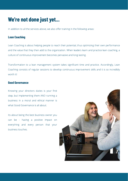# **We're not done just yet...**

In addition to all the services above, we also offer training in the following areas:

#### **Lean Coaching**

Lean Coaching is about helping people to reach their potential, thus optimizing their own performance and the value that they then add to the organization. When leaders learn and practice lean coaching, a culture of continuous improvement becomes pervasive and long-lasting.

Transformation to a lean management system takes significant time and practice. Accordingly, Lean Coaching consists of regular sessions to develop continuous improvement skills and it is so incredibly worth it!

#### **Good Governance**

Knowing your directors duties is your first step, but implementing them AND running a business in a moral and ethical manner is what Good Governance is all about.

Its about being the best business owner you can be - having a positive impact on everything and every person that your business touches.

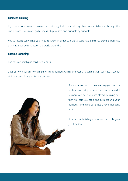#### **Business Building**

If you are brand new to business and finding it all overwhelming, then we can take you through the entire process of creating a business: step by step and principle by principle.

You will learn everything you need to know in order to build a sustainable, strong, growing business that has a positive impact on the world around it.

#### **Burnout Coaching**

Business ownership is hard. Really hard.

78% of new business owners suffer from burnout within one year of opening their business! Seventy eight percent! That's a high percentage.



If you are new to business, we help you build in such a way that you never find out how awful burnout can be. If you are already burning out, then we help you stop and turn around your burnout - and make sure that it never happens again.

It's all about building a business that truly gives you freedom!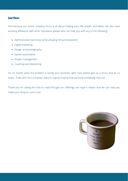#### **And More:**

And because our entire company focus is all about making your life simpler and better, we also have amazing affiliations with other marvelous people who can help you with any of the following:

- Administration (we know some amazing Virtual Assistants!)
- Digital marketing
- Design and photography
- System automation
- Project management
- Coaching and Mentoring

So, no matter what the problem is facing your business right now, please give us a shout and let us know - if we can't fix it ourselves, there is a good chance that we know somebody that can.

Thank you for taking the time to read through our offerings, we hope it means that we can help you make your dreams come true!